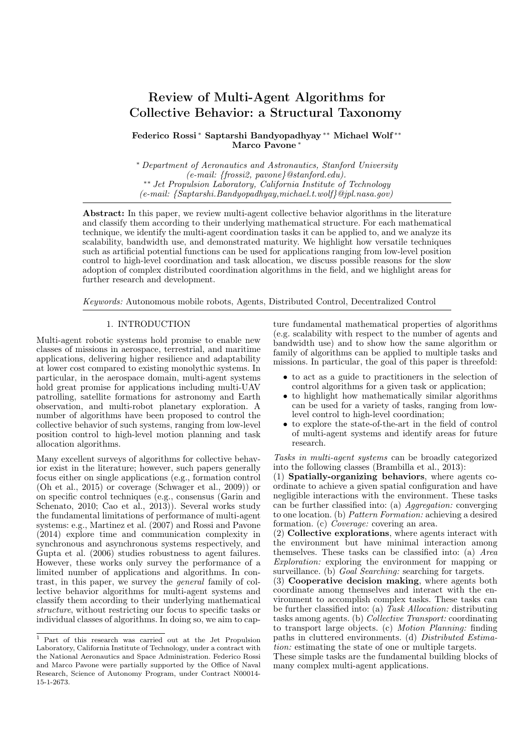# Review of Multi-Agent Algorithms for Collective Behavior: a Structural Taxonomy

Federico Rossi <sup>∗</sup> Saptarshi Bandyopadhyay ∗∗ Michael Wolf ∗∗ Marco Pavone

<sup>∗</sup> Department of Aeronautics and Astronautics, Stanford University (e-mail: {frossi2, pavone}@stanford.edu). ∗∗ Jet Propulsion Laboratory, California Institute of Technology (e-mail: {Saptarshi.Bandyopadhyay,michael.t.wolf}@jpl.nasa.gov)

Abstract: In this paper, we review multi-agent collective behavior algorithms in the literature and classify them according to their underlying mathematical structure. For each mathematical technique, we identify the multi-agent coordination tasks it can be applied to, and we analyze its scalability, bandwidth use, and demonstrated maturity. We highlight how versatile techniques such as artificial potential functions can be used for applications ranging from low-level position control to high-level coordination and task allocation, we discuss possible reasons for the slow adoption of complex distributed coordination algorithms in the field, and we highlight areas for further research and development.

Keywords: Autonomous mobile robots, Agents, Distributed Control, Decentralized Control

#### 1. INTRODUCTION

Multi-agent robotic systems hold promise to enable new classes of missions in aerospace, terrestrial, and maritime applications, delivering higher resilience and adaptability at lower cost compared to existing monolythic systems. In particular, in the aerospace domain, multi-agent systems hold great promise for applications including multi-UAV patrolling, satellite formations for astronomy and Earth observation, and multi-robot planetary exploration. A number of algorithms have been proposed to control the collective behavior of such systems, ranging from low-level position control to high-level motion planning and task allocation algorithms.

Many excellent surveys of algorithms for collective behavior exist in the literature; however, such papers generally focus either on single applications (e.g., formation control (Oh et al., 2015) or coverage (Schwager et al., 2009)) or on specific control techniques (e.g., consensus (Garin and Schenato, 2010; Cao et al., 2013)). Several works study the fundamental limitations of performance of multi-agent systems: e.g., Martinez et al. (2007) and Rossi and Pavone (2014) explore time and communication complexity in synchronous and asynchronous systems respectively, and Gupta et al. (2006) studies robustness to agent failures. However, these works only survey the performance of a limited number of applications and algorithms. In contrast, in this paper, we survey the general family of collective behavior algorithms for multi-agent systems and classify them according to their underlying mathematical structure, without restricting our focus to specific tasks or individual classes of algorithms. In doing so, we aim to capture fundamental mathematical properties of algorithms (e.g. scalability with respect to the number of agents and bandwidth use) and to show how the same algorithm or family of algorithms can be applied to multiple tasks and missions. In particular, the goal of this paper is threefold:

- to act as a guide to practitioners in the selection of control algorithms for a given task or application;
- to highlight how mathematically similar algorithms can be used for a variety of tasks, ranging from lowlevel control to high-level coordination;
- to explore the state-of-the-art in the field of control of multi-agent systems and identify areas for future research.

Tasks in multi-agent systems can be broadly categorized into the following classes (Brambilla et al., 2013):

(1) Spatially-organizing behaviors, where agents coordinate to achieve a given spatial configuration and have negligible interactions with the environment. These tasks can be further classified into: (a) Aggregation: converging to one location. (b) Pattern Formation: achieving a desired formation. (c) Coverage: covering an area.

(2) Collective explorations, where agents interact with the environment but have minimal interaction among themselves. These tasks can be classified into: (a) Area Exploration: exploring the environment for mapping or surveillance. (b) Goal Searching: searching for targets.

(3) Cooperative decision making, where agents both coordinate among themselves and interact with the environment to accomplish complex tasks. These tasks can be further classified into: (a) Task Allocation: distributing tasks among agents. (b) Collective Transport: coordinating to transport large objects. (c) Motion Planning: finding paths in cluttered environments. (d) Distributed Estimation: estimating the state of one or multiple targets.

These simple tasks are the fundamental building blocks of many complex multi-agent applications.

<sup>1</sup> Part of this research was carried out at the Jet Propulsion Laboratory, California Institute of Technology, under a contract with the National Aeronautics and Space Administration. Federico Rossi and Marco Pavone were partially supported by the Office of Naval Research, Science of Autonomy Program, under Contract N00014- 15-1-2673.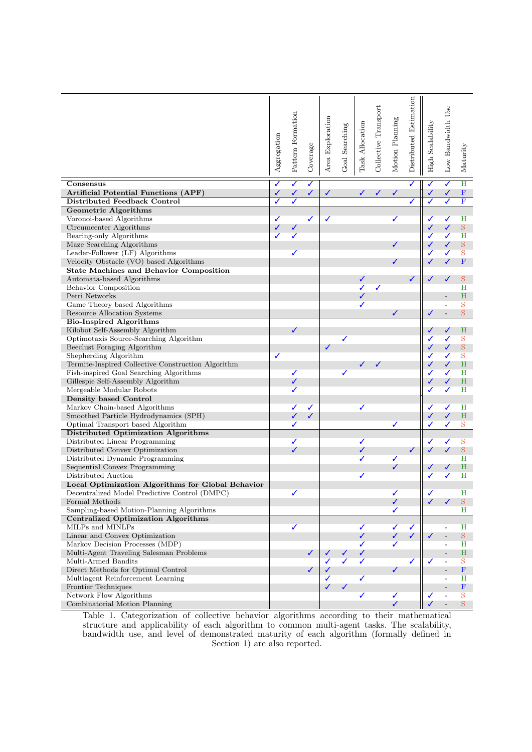| ✓<br>H<br>✓<br>✓<br>✓<br>Consensus<br>✓<br>✓<br>$\mathbf F$<br><b>Artificial Potential Functions (APF)</b><br>✓<br>✓<br>✓<br>✓<br>✓<br>✓<br>✓<br>✓<br>✓<br>$\overline{\mathbf{F}}$<br>Distributed Feedback Control<br>✓<br>✓<br>✓<br>✓<br>✓<br><b>Geometric Algorithms</b><br>Voronoi-based Algorithms<br>✓<br>✓<br>✓<br>✓<br>✓<br>✓<br>Н<br>Circumcenter Algorithms<br>✓<br>S<br>✓<br>✓<br>✓<br>✓<br>✓<br>$_{\rm H}$<br>Bearing-only Algorithms<br>✓<br>✓<br>✓<br>$\mathbf S$<br>Maze Searching Algorithms<br>✓<br>✓<br>Leader-Follower (LF) Algorithms<br>✓<br>✓<br>S<br>✓<br>$\mathbf F$<br>Velocity Obstacle (VO) based Algorithms<br>✓<br><b>State Machines and Behavior Composition</b><br>✓<br>✓<br>✓<br>S<br>Automata-based Algorithms<br>✓<br>Behavior Composition<br>Η<br>✓<br>✓<br>H<br>Petri Networks<br>✓<br>Game Theory based Algorithms<br>S<br>✓<br>S<br>Resource Allocation Systems<br>✓<br>✓<br>$\overline{\phantom{a}}$<br><b>Bio-Inspired Algorithms</b><br>Kilobot Self-Assembly Algorithm<br>$\checkmark$<br>✓<br>✓<br>Η<br>Optimotaxis Source-Searching Algorithm<br>✓<br>✓<br>S<br>$\mathbf S$<br>$\checkmark$<br>✓<br>Beeclust Foraging Algorithm<br>✓<br>Shepherding Algorithm<br>S<br>✓<br>✓<br>✓<br>✓<br>H<br>Termite-Inspired Collective Construction Algorithm<br>✓<br>J<br>✓<br>✓<br>✓<br>✓<br>Fish-inspired Goal Searching Algorithms<br>✓<br>Η<br>$\checkmark$<br>✓<br>H<br>Gillespie Self-Assembly Algorithm<br>✓<br>✓<br>Mergeable Modular Robots<br>✓<br>Η<br>✓<br><b>Density based Control</b><br>Markov Chain-based Algorithms<br>✓<br>✓<br>✓<br>✓<br>✓<br>Η<br>$\checkmark$<br>✓<br>✓<br>✓<br>$\, {\rm H}$<br>Smoothed Particle Hydrodynamics (SPH)<br>✓<br>Optimal Transport based Algorithm<br>✓<br>S<br>✓<br>✓<br>Distributed Optimization Algorithms<br>Distributed Linear Programming<br>✓<br>S<br>✓<br>✓<br>✓<br>✓<br>✓<br>$\mathbf S$<br>Distributed Convex Optimization<br>✓<br>✓<br>✓<br>H<br>Distributed Dynamic Programming<br>✓<br>✓<br>✓<br>$\, {\rm H}$<br>Sequential Convex Programming<br>✓<br>✓<br>✓<br>Distributed Auction<br>Η<br>✓<br>ℐ<br>Local Optimization Algorithms for Global Behavior<br>Decentralized Model Predictive Control (DMPC)<br>$\rm H$<br>✔<br>$\mathbf S$<br>Formal Methods<br>✓<br>✓<br>✓<br>Sampling-based Motion-Planning Algorithms<br>Н<br>✓<br><b>Centralized Optimization Algorithms</b><br>MILPs and MINLPs<br>✓<br>✓<br>Η<br>✓<br>✓<br>$\qquad \qquad \blacksquare$<br>✓<br>✓<br>✓<br>$S_{-}$<br>Linear and Convex Optimization<br>✓<br>Markov Decision Processes (MDP)<br>✓<br>✓<br>Н<br>$\overline{\phantom{0}}$<br>Multi-Agent Traveling Salesman Problems<br>$\,$ H<br>✓<br>✓<br>✓<br>✓<br>✓<br>✓<br>Multi-Armed Bandits<br>S<br>✓<br>✓<br>✓<br>$\mathbf F$<br>Direct Methods for Optimal Control<br>✓<br>✓<br>✓<br>Multiagent Reinforcement Learning<br>✓<br>✓<br>Н<br>✓<br>✓<br>F<br>Frontier Techniques<br>Network Flow Algorithms<br>✓<br>$\checkmark$<br>S<br>✓<br>$\overline{\phantom{a}}$<br>$\checkmark$<br>$\mathbf S$<br>Combinatorial Motion Planning<br>✓ | Aggregation | Pattern Formation | Coverage | Area Exploration | Goal Searching | Task Allocation | Collective Transport | Motion Planning | Distributed Estimation | High Scalability | Low Bandwidth Use | Maturity |
|------------------------------------------------------------------------------------------------------------------------------------------------------------------------------------------------------------------------------------------------------------------------------------------------------------------------------------------------------------------------------------------------------------------------------------------------------------------------------------------------------------------------------------------------------------------------------------------------------------------------------------------------------------------------------------------------------------------------------------------------------------------------------------------------------------------------------------------------------------------------------------------------------------------------------------------------------------------------------------------------------------------------------------------------------------------------------------------------------------------------------------------------------------------------------------------------------------------------------------------------------------------------------------------------------------------------------------------------------------------------------------------------------------------------------------------------------------------------------------------------------------------------------------------------------------------------------------------------------------------------------------------------------------------------------------------------------------------------------------------------------------------------------------------------------------------------------------------------------------------------------------------------------------------------------------------------------------------------------------------------------------------------------------------------------------------------------------------------------------------------------------------------------------------------------------------------------------------------------------------------------------------------------------------------------------------------------------------------------------------------------------------------------------------------------------------------------------------------------------------------------------------------------------------------------------------------------------------------------------------------------------------------------------------------------------------------------------------------------------------------------------------------------------------------------------------------------------------------------------------------------------------------------------------------------------------------------------------------------------------------------------------------------------------------------------------|-------------|-------------------|----------|------------------|----------------|-----------------|----------------------|-----------------|------------------------|------------------|-------------------|----------|
|                                                                                                                                                                                                                                                                                                                                                                                                                                                                                                                                                                                                                                                                                                                                                                                                                                                                                                                                                                                                                                                                                                                                                                                                                                                                                                                                                                                                                                                                                                                                                                                                                                                                                                                                                                                                                                                                                                                                                                                                                                                                                                                                                                                                                                                                                                                                                                                                                                                                                                                                                                                                                                                                                                                                                                                                                                                                                                                                                                                                                                                                  |             |                   |          |                  |                |                 |                      |                 |                        |                  |                   |          |
|                                                                                                                                                                                                                                                                                                                                                                                                                                                                                                                                                                                                                                                                                                                                                                                                                                                                                                                                                                                                                                                                                                                                                                                                                                                                                                                                                                                                                                                                                                                                                                                                                                                                                                                                                                                                                                                                                                                                                                                                                                                                                                                                                                                                                                                                                                                                                                                                                                                                                                                                                                                                                                                                                                                                                                                                                                                                                                                                                                                                                                                                  |             |                   |          |                  |                |                 |                      |                 |                        |                  |                   |          |
|                                                                                                                                                                                                                                                                                                                                                                                                                                                                                                                                                                                                                                                                                                                                                                                                                                                                                                                                                                                                                                                                                                                                                                                                                                                                                                                                                                                                                                                                                                                                                                                                                                                                                                                                                                                                                                                                                                                                                                                                                                                                                                                                                                                                                                                                                                                                                                                                                                                                                                                                                                                                                                                                                                                                                                                                                                                                                                                                                                                                                                                                  |             |                   |          |                  |                |                 |                      |                 |                        |                  |                   |          |
|                                                                                                                                                                                                                                                                                                                                                                                                                                                                                                                                                                                                                                                                                                                                                                                                                                                                                                                                                                                                                                                                                                                                                                                                                                                                                                                                                                                                                                                                                                                                                                                                                                                                                                                                                                                                                                                                                                                                                                                                                                                                                                                                                                                                                                                                                                                                                                                                                                                                                                                                                                                                                                                                                                                                                                                                                                                                                                                                                                                                                                                                  |             |                   |          |                  |                |                 |                      |                 |                        |                  |                   |          |
|                                                                                                                                                                                                                                                                                                                                                                                                                                                                                                                                                                                                                                                                                                                                                                                                                                                                                                                                                                                                                                                                                                                                                                                                                                                                                                                                                                                                                                                                                                                                                                                                                                                                                                                                                                                                                                                                                                                                                                                                                                                                                                                                                                                                                                                                                                                                                                                                                                                                                                                                                                                                                                                                                                                                                                                                                                                                                                                                                                                                                                                                  |             |                   |          |                  |                |                 |                      |                 |                        |                  |                   |          |
|                                                                                                                                                                                                                                                                                                                                                                                                                                                                                                                                                                                                                                                                                                                                                                                                                                                                                                                                                                                                                                                                                                                                                                                                                                                                                                                                                                                                                                                                                                                                                                                                                                                                                                                                                                                                                                                                                                                                                                                                                                                                                                                                                                                                                                                                                                                                                                                                                                                                                                                                                                                                                                                                                                                                                                                                                                                                                                                                                                                                                                                                  |             |                   |          |                  |                |                 |                      |                 |                        |                  |                   |          |
|                                                                                                                                                                                                                                                                                                                                                                                                                                                                                                                                                                                                                                                                                                                                                                                                                                                                                                                                                                                                                                                                                                                                                                                                                                                                                                                                                                                                                                                                                                                                                                                                                                                                                                                                                                                                                                                                                                                                                                                                                                                                                                                                                                                                                                                                                                                                                                                                                                                                                                                                                                                                                                                                                                                                                                                                                                                                                                                                                                                                                                                                  |             |                   |          |                  |                |                 |                      |                 |                        |                  |                   |          |
|                                                                                                                                                                                                                                                                                                                                                                                                                                                                                                                                                                                                                                                                                                                                                                                                                                                                                                                                                                                                                                                                                                                                                                                                                                                                                                                                                                                                                                                                                                                                                                                                                                                                                                                                                                                                                                                                                                                                                                                                                                                                                                                                                                                                                                                                                                                                                                                                                                                                                                                                                                                                                                                                                                                                                                                                                                                                                                                                                                                                                                                                  |             |                   |          |                  |                |                 |                      |                 |                        |                  |                   |          |
|                                                                                                                                                                                                                                                                                                                                                                                                                                                                                                                                                                                                                                                                                                                                                                                                                                                                                                                                                                                                                                                                                                                                                                                                                                                                                                                                                                                                                                                                                                                                                                                                                                                                                                                                                                                                                                                                                                                                                                                                                                                                                                                                                                                                                                                                                                                                                                                                                                                                                                                                                                                                                                                                                                                                                                                                                                                                                                                                                                                                                                                                  |             |                   |          |                  |                |                 |                      |                 |                        |                  |                   |          |
|                                                                                                                                                                                                                                                                                                                                                                                                                                                                                                                                                                                                                                                                                                                                                                                                                                                                                                                                                                                                                                                                                                                                                                                                                                                                                                                                                                                                                                                                                                                                                                                                                                                                                                                                                                                                                                                                                                                                                                                                                                                                                                                                                                                                                                                                                                                                                                                                                                                                                                                                                                                                                                                                                                                                                                                                                                                                                                                                                                                                                                                                  |             |                   |          |                  |                |                 |                      |                 |                        |                  |                   |          |
|                                                                                                                                                                                                                                                                                                                                                                                                                                                                                                                                                                                                                                                                                                                                                                                                                                                                                                                                                                                                                                                                                                                                                                                                                                                                                                                                                                                                                                                                                                                                                                                                                                                                                                                                                                                                                                                                                                                                                                                                                                                                                                                                                                                                                                                                                                                                                                                                                                                                                                                                                                                                                                                                                                                                                                                                                                                                                                                                                                                                                                                                  |             |                   |          |                  |                |                 |                      |                 |                        |                  |                   |          |
|                                                                                                                                                                                                                                                                                                                                                                                                                                                                                                                                                                                                                                                                                                                                                                                                                                                                                                                                                                                                                                                                                                                                                                                                                                                                                                                                                                                                                                                                                                                                                                                                                                                                                                                                                                                                                                                                                                                                                                                                                                                                                                                                                                                                                                                                                                                                                                                                                                                                                                                                                                                                                                                                                                                                                                                                                                                                                                                                                                                                                                                                  |             |                   |          |                  |                |                 |                      |                 |                        |                  |                   |          |
|                                                                                                                                                                                                                                                                                                                                                                                                                                                                                                                                                                                                                                                                                                                                                                                                                                                                                                                                                                                                                                                                                                                                                                                                                                                                                                                                                                                                                                                                                                                                                                                                                                                                                                                                                                                                                                                                                                                                                                                                                                                                                                                                                                                                                                                                                                                                                                                                                                                                                                                                                                                                                                                                                                                                                                                                                                                                                                                                                                                                                                                                  |             |                   |          |                  |                |                 |                      |                 |                        |                  |                   |          |
|                                                                                                                                                                                                                                                                                                                                                                                                                                                                                                                                                                                                                                                                                                                                                                                                                                                                                                                                                                                                                                                                                                                                                                                                                                                                                                                                                                                                                                                                                                                                                                                                                                                                                                                                                                                                                                                                                                                                                                                                                                                                                                                                                                                                                                                                                                                                                                                                                                                                                                                                                                                                                                                                                                                                                                                                                                                                                                                                                                                                                                                                  |             |                   |          |                  |                |                 |                      |                 |                        |                  |                   |          |
|                                                                                                                                                                                                                                                                                                                                                                                                                                                                                                                                                                                                                                                                                                                                                                                                                                                                                                                                                                                                                                                                                                                                                                                                                                                                                                                                                                                                                                                                                                                                                                                                                                                                                                                                                                                                                                                                                                                                                                                                                                                                                                                                                                                                                                                                                                                                                                                                                                                                                                                                                                                                                                                                                                                                                                                                                                                                                                                                                                                                                                                                  |             |                   |          |                  |                |                 |                      |                 |                        |                  |                   |          |
|                                                                                                                                                                                                                                                                                                                                                                                                                                                                                                                                                                                                                                                                                                                                                                                                                                                                                                                                                                                                                                                                                                                                                                                                                                                                                                                                                                                                                                                                                                                                                                                                                                                                                                                                                                                                                                                                                                                                                                                                                                                                                                                                                                                                                                                                                                                                                                                                                                                                                                                                                                                                                                                                                                                                                                                                                                                                                                                                                                                                                                                                  |             |                   |          |                  |                |                 |                      |                 |                        |                  |                   |          |
|                                                                                                                                                                                                                                                                                                                                                                                                                                                                                                                                                                                                                                                                                                                                                                                                                                                                                                                                                                                                                                                                                                                                                                                                                                                                                                                                                                                                                                                                                                                                                                                                                                                                                                                                                                                                                                                                                                                                                                                                                                                                                                                                                                                                                                                                                                                                                                                                                                                                                                                                                                                                                                                                                                                                                                                                                                                                                                                                                                                                                                                                  |             |                   |          |                  |                |                 |                      |                 |                        |                  |                   |          |
|                                                                                                                                                                                                                                                                                                                                                                                                                                                                                                                                                                                                                                                                                                                                                                                                                                                                                                                                                                                                                                                                                                                                                                                                                                                                                                                                                                                                                                                                                                                                                                                                                                                                                                                                                                                                                                                                                                                                                                                                                                                                                                                                                                                                                                                                                                                                                                                                                                                                                                                                                                                                                                                                                                                                                                                                                                                                                                                                                                                                                                                                  |             |                   |          |                  |                |                 |                      |                 |                        |                  |                   |          |
|                                                                                                                                                                                                                                                                                                                                                                                                                                                                                                                                                                                                                                                                                                                                                                                                                                                                                                                                                                                                                                                                                                                                                                                                                                                                                                                                                                                                                                                                                                                                                                                                                                                                                                                                                                                                                                                                                                                                                                                                                                                                                                                                                                                                                                                                                                                                                                                                                                                                                                                                                                                                                                                                                                                                                                                                                                                                                                                                                                                                                                                                  |             |                   |          |                  |                |                 |                      |                 |                        |                  |                   |          |
|                                                                                                                                                                                                                                                                                                                                                                                                                                                                                                                                                                                                                                                                                                                                                                                                                                                                                                                                                                                                                                                                                                                                                                                                                                                                                                                                                                                                                                                                                                                                                                                                                                                                                                                                                                                                                                                                                                                                                                                                                                                                                                                                                                                                                                                                                                                                                                                                                                                                                                                                                                                                                                                                                                                                                                                                                                                                                                                                                                                                                                                                  |             |                   |          |                  |                |                 |                      |                 |                        |                  |                   |          |
|                                                                                                                                                                                                                                                                                                                                                                                                                                                                                                                                                                                                                                                                                                                                                                                                                                                                                                                                                                                                                                                                                                                                                                                                                                                                                                                                                                                                                                                                                                                                                                                                                                                                                                                                                                                                                                                                                                                                                                                                                                                                                                                                                                                                                                                                                                                                                                                                                                                                                                                                                                                                                                                                                                                                                                                                                                                                                                                                                                                                                                                                  |             |                   |          |                  |                |                 |                      |                 |                        |                  |                   |          |
|                                                                                                                                                                                                                                                                                                                                                                                                                                                                                                                                                                                                                                                                                                                                                                                                                                                                                                                                                                                                                                                                                                                                                                                                                                                                                                                                                                                                                                                                                                                                                                                                                                                                                                                                                                                                                                                                                                                                                                                                                                                                                                                                                                                                                                                                                                                                                                                                                                                                                                                                                                                                                                                                                                                                                                                                                                                                                                                                                                                                                                                                  |             |                   |          |                  |                |                 |                      |                 |                        |                  |                   |          |
|                                                                                                                                                                                                                                                                                                                                                                                                                                                                                                                                                                                                                                                                                                                                                                                                                                                                                                                                                                                                                                                                                                                                                                                                                                                                                                                                                                                                                                                                                                                                                                                                                                                                                                                                                                                                                                                                                                                                                                                                                                                                                                                                                                                                                                                                                                                                                                                                                                                                                                                                                                                                                                                                                                                                                                                                                                                                                                                                                                                                                                                                  |             |                   |          |                  |                |                 |                      |                 |                        |                  |                   |          |
|                                                                                                                                                                                                                                                                                                                                                                                                                                                                                                                                                                                                                                                                                                                                                                                                                                                                                                                                                                                                                                                                                                                                                                                                                                                                                                                                                                                                                                                                                                                                                                                                                                                                                                                                                                                                                                                                                                                                                                                                                                                                                                                                                                                                                                                                                                                                                                                                                                                                                                                                                                                                                                                                                                                                                                                                                                                                                                                                                                                                                                                                  |             |                   |          |                  |                |                 |                      |                 |                        |                  |                   |          |
|                                                                                                                                                                                                                                                                                                                                                                                                                                                                                                                                                                                                                                                                                                                                                                                                                                                                                                                                                                                                                                                                                                                                                                                                                                                                                                                                                                                                                                                                                                                                                                                                                                                                                                                                                                                                                                                                                                                                                                                                                                                                                                                                                                                                                                                                                                                                                                                                                                                                                                                                                                                                                                                                                                                                                                                                                                                                                                                                                                                                                                                                  |             |                   |          |                  |                |                 |                      |                 |                        |                  |                   |          |
|                                                                                                                                                                                                                                                                                                                                                                                                                                                                                                                                                                                                                                                                                                                                                                                                                                                                                                                                                                                                                                                                                                                                                                                                                                                                                                                                                                                                                                                                                                                                                                                                                                                                                                                                                                                                                                                                                                                                                                                                                                                                                                                                                                                                                                                                                                                                                                                                                                                                                                                                                                                                                                                                                                                                                                                                                                                                                                                                                                                                                                                                  |             |                   |          |                  |                |                 |                      |                 |                        |                  |                   |          |
|                                                                                                                                                                                                                                                                                                                                                                                                                                                                                                                                                                                                                                                                                                                                                                                                                                                                                                                                                                                                                                                                                                                                                                                                                                                                                                                                                                                                                                                                                                                                                                                                                                                                                                                                                                                                                                                                                                                                                                                                                                                                                                                                                                                                                                                                                                                                                                                                                                                                                                                                                                                                                                                                                                                                                                                                                                                                                                                                                                                                                                                                  |             |                   |          |                  |                |                 |                      |                 |                        |                  |                   |          |
|                                                                                                                                                                                                                                                                                                                                                                                                                                                                                                                                                                                                                                                                                                                                                                                                                                                                                                                                                                                                                                                                                                                                                                                                                                                                                                                                                                                                                                                                                                                                                                                                                                                                                                                                                                                                                                                                                                                                                                                                                                                                                                                                                                                                                                                                                                                                                                                                                                                                                                                                                                                                                                                                                                                                                                                                                                                                                                                                                                                                                                                                  |             |                   |          |                  |                |                 |                      |                 |                        |                  |                   |          |
|                                                                                                                                                                                                                                                                                                                                                                                                                                                                                                                                                                                                                                                                                                                                                                                                                                                                                                                                                                                                                                                                                                                                                                                                                                                                                                                                                                                                                                                                                                                                                                                                                                                                                                                                                                                                                                                                                                                                                                                                                                                                                                                                                                                                                                                                                                                                                                                                                                                                                                                                                                                                                                                                                                                                                                                                                                                                                                                                                                                                                                                                  |             |                   |          |                  |                |                 |                      |                 |                        |                  |                   |          |
|                                                                                                                                                                                                                                                                                                                                                                                                                                                                                                                                                                                                                                                                                                                                                                                                                                                                                                                                                                                                                                                                                                                                                                                                                                                                                                                                                                                                                                                                                                                                                                                                                                                                                                                                                                                                                                                                                                                                                                                                                                                                                                                                                                                                                                                                                                                                                                                                                                                                                                                                                                                                                                                                                                                                                                                                                                                                                                                                                                                                                                                                  |             |                   |          |                  |                |                 |                      |                 |                        |                  |                   |          |
|                                                                                                                                                                                                                                                                                                                                                                                                                                                                                                                                                                                                                                                                                                                                                                                                                                                                                                                                                                                                                                                                                                                                                                                                                                                                                                                                                                                                                                                                                                                                                                                                                                                                                                                                                                                                                                                                                                                                                                                                                                                                                                                                                                                                                                                                                                                                                                                                                                                                                                                                                                                                                                                                                                                                                                                                                                                                                                                                                                                                                                                                  |             |                   |          |                  |                |                 |                      |                 |                        |                  |                   |          |
|                                                                                                                                                                                                                                                                                                                                                                                                                                                                                                                                                                                                                                                                                                                                                                                                                                                                                                                                                                                                                                                                                                                                                                                                                                                                                                                                                                                                                                                                                                                                                                                                                                                                                                                                                                                                                                                                                                                                                                                                                                                                                                                                                                                                                                                                                                                                                                                                                                                                                                                                                                                                                                                                                                                                                                                                                                                                                                                                                                                                                                                                  |             |                   |          |                  |                |                 |                      |                 |                        |                  |                   |          |
|                                                                                                                                                                                                                                                                                                                                                                                                                                                                                                                                                                                                                                                                                                                                                                                                                                                                                                                                                                                                                                                                                                                                                                                                                                                                                                                                                                                                                                                                                                                                                                                                                                                                                                                                                                                                                                                                                                                                                                                                                                                                                                                                                                                                                                                                                                                                                                                                                                                                                                                                                                                                                                                                                                                                                                                                                                                                                                                                                                                                                                                                  |             |                   |          |                  |                |                 |                      |                 |                        |                  |                   |          |
|                                                                                                                                                                                                                                                                                                                                                                                                                                                                                                                                                                                                                                                                                                                                                                                                                                                                                                                                                                                                                                                                                                                                                                                                                                                                                                                                                                                                                                                                                                                                                                                                                                                                                                                                                                                                                                                                                                                                                                                                                                                                                                                                                                                                                                                                                                                                                                                                                                                                                                                                                                                                                                                                                                                                                                                                                                                                                                                                                                                                                                                                  |             |                   |          |                  |                |                 |                      |                 |                        |                  |                   |          |
|                                                                                                                                                                                                                                                                                                                                                                                                                                                                                                                                                                                                                                                                                                                                                                                                                                                                                                                                                                                                                                                                                                                                                                                                                                                                                                                                                                                                                                                                                                                                                                                                                                                                                                                                                                                                                                                                                                                                                                                                                                                                                                                                                                                                                                                                                                                                                                                                                                                                                                                                                                                                                                                                                                                                                                                                                                                                                                                                                                                                                                                                  |             |                   |          |                  |                |                 |                      |                 |                        |                  |                   |          |
|                                                                                                                                                                                                                                                                                                                                                                                                                                                                                                                                                                                                                                                                                                                                                                                                                                                                                                                                                                                                                                                                                                                                                                                                                                                                                                                                                                                                                                                                                                                                                                                                                                                                                                                                                                                                                                                                                                                                                                                                                                                                                                                                                                                                                                                                                                                                                                                                                                                                                                                                                                                                                                                                                                                                                                                                                                                                                                                                                                                                                                                                  |             |                   |          |                  |                |                 |                      |                 |                        |                  |                   |          |
|                                                                                                                                                                                                                                                                                                                                                                                                                                                                                                                                                                                                                                                                                                                                                                                                                                                                                                                                                                                                                                                                                                                                                                                                                                                                                                                                                                                                                                                                                                                                                                                                                                                                                                                                                                                                                                                                                                                                                                                                                                                                                                                                                                                                                                                                                                                                                                                                                                                                                                                                                                                                                                                                                                                                                                                                                                                                                                                                                                                                                                                                  |             |                   |          |                  |                |                 |                      |                 |                        |                  |                   |          |
|                                                                                                                                                                                                                                                                                                                                                                                                                                                                                                                                                                                                                                                                                                                                                                                                                                                                                                                                                                                                                                                                                                                                                                                                                                                                                                                                                                                                                                                                                                                                                                                                                                                                                                                                                                                                                                                                                                                                                                                                                                                                                                                                                                                                                                                                                                                                                                                                                                                                                                                                                                                                                                                                                                                                                                                                                                                                                                                                                                                                                                                                  |             |                   |          |                  |                |                 |                      |                 |                        |                  |                   |          |
|                                                                                                                                                                                                                                                                                                                                                                                                                                                                                                                                                                                                                                                                                                                                                                                                                                                                                                                                                                                                                                                                                                                                                                                                                                                                                                                                                                                                                                                                                                                                                                                                                                                                                                                                                                                                                                                                                                                                                                                                                                                                                                                                                                                                                                                                                                                                                                                                                                                                                                                                                                                                                                                                                                                                                                                                                                                                                                                                                                                                                                                                  |             |                   |          |                  |                |                 |                      |                 |                        |                  |                   |          |
|                                                                                                                                                                                                                                                                                                                                                                                                                                                                                                                                                                                                                                                                                                                                                                                                                                                                                                                                                                                                                                                                                                                                                                                                                                                                                                                                                                                                                                                                                                                                                                                                                                                                                                                                                                                                                                                                                                                                                                                                                                                                                                                                                                                                                                                                                                                                                                                                                                                                                                                                                                                                                                                                                                                                                                                                                                                                                                                                                                                                                                                                  |             |                   |          |                  |                |                 |                      |                 |                        |                  |                   |          |
|                                                                                                                                                                                                                                                                                                                                                                                                                                                                                                                                                                                                                                                                                                                                                                                                                                                                                                                                                                                                                                                                                                                                                                                                                                                                                                                                                                                                                                                                                                                                                                                                                                                                                                                                                                                                                                                                                                                                                                                                                                                                                                                                                                                                                                                                                                                                                                                                                                                                                                                                                                                                                                                                                                                                                                                                                                                                                                                                                                                                                                                                  |             |                   |          |                  |                |                 |                      |                 |                        |                  |                   |          |
|                                                                                                                                                                                                                                                                                                                                                                                                                                                                                                                                                                                                                                                                                                                                                                                                                                                                                                                                                                                                                                                                                                                                                                                                                                                                                                                                                                                                                                                                                                                                                                                                                                                                                                                                                                                                                                                                                                                                                                                                                                                                                                                                                                                                                                                                                                                                                                                                                                                                                                                                                                                                                                                                                                                                                                                                                                                                                                                                                                                                                                                                  |             |                   |          |                  |                |                 |                      |                 |                        |                  |                   |          |
|                                                                                                                                                                                                                                                                                                                                                                                                                                                                                                                                                                                                                                                                                                                                                                                                                                                                                                                                                                                                                                                                                                                                                                                                                                                                                                                                                                                                                                                                                                                                                                                                                                                                                                                                                                                                                                                                                                                                                                                                                                                                                                                                                                                                                                                                                                                                                                                                                                                                                                                                                                                                                                                                                                                                                                                                                                                                                                                                                                                                                                                                  |             |                   |          |                  |                |                 |                      |                 |                        |                  |                   |          |
|                                                                                                                                                                                                                                                                                                                                                                                                                                                                                                                                                                                                                                                                                                                                                                                                                                                                                                                                                                                                                                                                                                                                                                                                                                                                                                                                                                                                                                                                                                                                                                                                                                                                                                                                                                                                                                                                                                                                                                                                                                                                                                                                                                                                                                                                                                                                                                                                                                                                                                                                                                                                                                                                                                                                                                                                                                                                                                                                                                                                                                                                  |             |                   |          |                  |                |                 |                      |                 |                        |                  |                   |          |
|                                                                                                                                                                                                                                                                                                                                                                                                                                                                                                                                                                                                                                                                                                                                                                                                                                                                                                                                                                                                                                                                                                                                                                                                                                                                                                                                                                                                                                                                                                                                                                                                                                                                                                                                                                                                                                                                                                                                                                                                                                                                                                                                                                                                                                                                                                                                                                                                                                                                                                                                                                                                                                                                                                                                                                                                                                                                                                                                                                                                                                                                  |             |                   |          |                  |                |                 |                      |                 |                        |                  |                   |          |
|                                                                                                                                                                                                                                                                                                                                                                                                                                                                                                                                                                                                                                                                                                                                                                                                                                                                                                                                                                                                                                                                                                                                                                                                                                                                                                                                                                                                                                                                                                                                                                                                                                                                                                                                                                                                                                                                                                                                                                                                                                                                                                                                                                                                                                                                                                                                                                                                                                                                                                                                                                                                                                                                                                                                                                                                                                                                                                                                                                                                                                                                  |             |                   |          |                  |                |                 |                      |                 |                        |                  |                   |          |
|                                                                                                                                                                                                                                                                                                                                                                                                                                                                                                                                                                                                                                                                                                                                                                                                                                                                                                                                                                                                                                                                                                                                                                                                                                                                                                                                                                                                                                                                                                                                                                                                                                                                                                                                                                                                                                                                                                                                                                                                                                                                                                                                                                                                                                                                                                                                                                                                                                                                                                                                                                                                                                                                                                                                                                                                                                                                                                                                                                                                                                                                  |             |                   |          |                  |                |                 |                      |                 |                        |                  |                   |          |
|                                                                                                                                                                                                                                                                                                                                                                                                                                                                                                                                                                                                                                                                                                                                                                                                                                                                                                                                                                                                                                                                                                                                                                                                                                                                                                                                                                                                                                                                                                                                                                                                                                                                                                                                                                                                                                                                                                                                                                                                                                                                                                                                                                                                                                                                                                                                                                                                                                                                                                                                                                                                                                                                                                                                                                                                                                                                                                                                                                                                                                                                  |             |                   |          |                  |                |                 |                      |                 |                        |                  |                   |          |

Table 1. Categorization of collective behavior algorithms according to their mathematical structure and applicability of each algorithm to common multi-agent tasks. The scalability, bandwidth use, and level of demonstrated maturity of each algorithm (formally defined in Section 1) are also reported.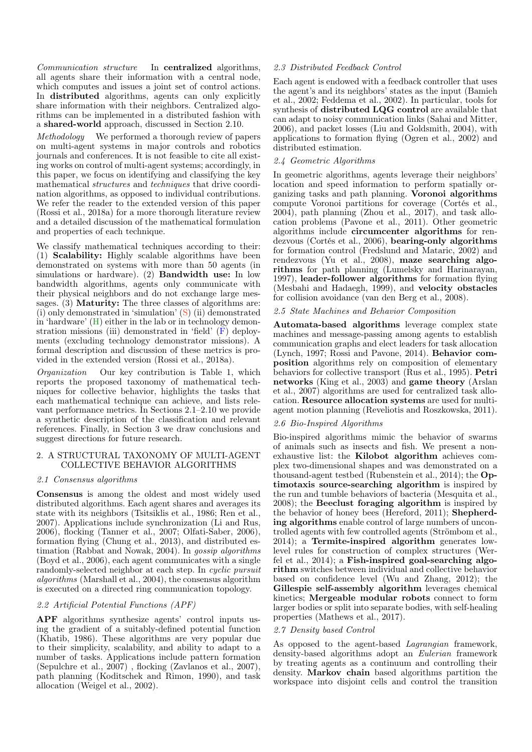Communication structure In centralized algorithms, all agents share their information with a central node, which computes and issues a joint set of control actions. In distributed algorithms, agents can only explicitly share information with their neighbors. Centralized algorithms can be implemented in a distributed fashion with a shared-world approach, discussed in Section 2.10.

Methodology We performed a thorough review of papers on multi-agent systems in major controls and robotics journals and conferences. It is not feasible to cite all existing works on control of multi-agent systems; accordingly, in this paper, we focus on identifying and classifying the key mathematical structures and techniques that drive coordination algorithms, as opposed to individual contributions. We refer the reader to the extended version of this paper (Rossi et al., 2018a) for a more thorough literature review and a detailed discussion of the mathematical formulation and properties of each technique.

We classify mathematical techniques according to their: (1) Scalability: Highly scalable algorithms have been demonstrated on systems with more than 50 agents (in simulations or hardware). (2) Bandwidth use: In low bandwidth algorithms, agents only communicate with their physical neighbors and do not exchange large messages. (3) **Maturity:** The three classes of algorithms are: (i) only demonstrated in 'simulation' (S) (ii) demonstrated in 'hardware' (H) either in the lab or in technology demonstration missions (iii) demonstrated in 'field' (F) deployments (excluding technology demonstrator missions). A formal description and discussion of these metrics is provided in the extended version (Rossi et al., 2018a).

Organization Our key contribution is Table 1, which reports the proposed taxonomy of mathematical techniques for collective behavior, highlights the tasks that each mathematical technique can achieve, and lists relevant performance metrics. In Sections 2.1–2.10 we provide a synthetic description of the classification and relevant references. Finally, in Section 3 we draw conclusions and suggest directions for future research.

#### 2. A STRUCTURAL TAXONOMY OF MULTI-AGENT COLLECTIVE BEHAVIOR ALGORITHMS

#### 2.1 Consensus algorithms

Consensus is among the oldest and most widely used distributed algorithms. Each agent shares and averages its state with its neighbors (Tsitsiklis et al., 1986; Ren et al., 2007). Applications include synchronization (Li and Rus, 2006), flocking (Tanner et al., 2007; Olfati-Saber, 2006), formation flying (Chung et al., 2013), and distributed estimation (Rabbat and Nowak, 2004). In gossip algorithms (Boyd et al., 2006), each agent communicates with a single randomly-selected neighbor at each step. In cyclic pursuit  $algorithms$  (Marshall et al., 2004), the consensus algorithm is executed on a directed ring communication topology.

#### 2.2 Artificial Potential Functions (APF)

APF algorithms synthesize agents' control inputs using the gradient of a suitably-defined potential function (Khatib, 1986). These algorithms are very popular due to their simplicity, scalability, and ability to adapt to a number of tasks. Applications include pattern formation (Sepulchre et al., 2007) , flocking (Zavlanos et al., 2007), path planning (Koditschek and Rimon, 1990), and task allocation (Weigel et al., 2002).

# 2.3 Distributed Feedback Control

Each agent is endowed with a feedback controller that uses the agent's and its neighbors' states as the input (Bamieh et al., 2002; Feddema et al., 2002). In particular, tools for synthesis of distributed LQG control are available that can adapt to noisy communication links (Sahai and Mitter, 2006), and packet losses (Liu and Goldsmith, 2004), with applications to formation flying (Ogren et al., 2002) and distributed estimation.

# 2.4 Geometric Algorithms

In geometric algorithms, agents leverage their neighbors' location and speed information to perform spatially organizing tasks and path planning. Voronoi algorithms compute Voronoi partitions for coverage (Cortés et al., 2004), path planning (Zhou et al., 2017), and task allocation problems (Pavone et al., 2011). Other geometric algorithms include circumcenter algorithms for rendezvous (Cortés et al., 2006), bearing-only algorithms for formation control (Fredslund and Mataric, 2002) and rendezvous (Yu et al., 2008), maze searching algorithms for path planning (Lumelsky and Harinarayan, 1997), leader-follower algorithms for formation flying (Mesbahi and Hadaegh, 1999), and velocity obstacles for collision avoidance (van den Berg et al., 2008).

# 2.5 State Machines and Behavior Composition

Automata-based algorithms leverage complex state machines and message-passing among agents to establish communication graphs and elect leaders for task allocation (Lynch, 1997; Rossi and Pavone, 2014). Behavior composition algorithms rely on composition of elementary behaviors for collective transport (Rus et al., 1995). Petri networks (King et al., 2003) and game theory (Arslan et al., 2007) algorithms are used for centralized task allocation. Resource allocation systems are used for multiagent motion planning (Reveliotis and Roszkowska, 2011).

#### 2.6 Bio-Inspired Algorithms

Bio-inspired algorithms mimic the behavior of swarms of animals such as insects and fish. We present a nonexhaustive list: the Kilobot algorithm achieves complex two-dimensional shapes and was demonstrated on a thousand-agent testbed (Rubenstein et al., 2014); the Optimotaxis source-searching algorithm is inspired by the run and tumble behaviors of bacteria (Mesquita et al., 2008); the Beeclust foraging algorithm is inspired by the behavior of honey bees (Hereford, 2011); Shepherding algorithms enable control of large numbers of uncontrolled agents with few controlled agents (Strömbom et al., 2014); a Termite-inspired algorithm generates lowlevel rules for construction of complex structures (Werfel et al., 2014); a Fish-inspired goal-searching algorithm switches between individual and collective behavior based on confidence level (Wu and Zhang, 2012); the Gillespie self-assembly algorithm leverages chemical kinetics; Mergeable modular robots connect to form larger bodies or split into separate bodies, with self-healing properties (Mathews et al., 2017).

## 2.7 Density based Control

As opposed to the agent-based Lagrangian framework, density-based algorithms adopt an Eulerian framework by treating agents as a continuum and controlling their density. Markov chain based algorithms partition the workspace into disjoint cells and control the transition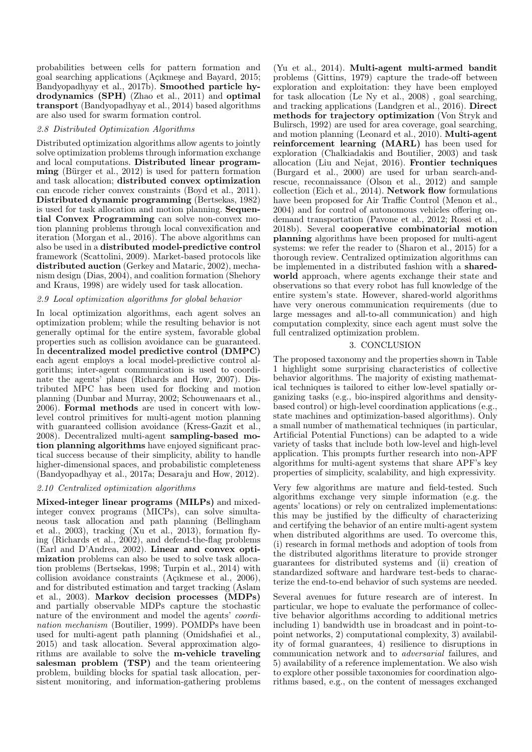probabilities between cells for pattern formation and goal searching applications (Açıkmeşe and Bayard, 2015; Bandyopadhyay et al., 2017b). Smoothed particle hydrodynamics (SPH) (Zhao et al., 2011) and optimal transport (Bandyopadhyay et al., 2014) based algorithms are also used for swarm formation control.

## 2.8 Distributed Optimization Algorithms

Distributed optimization algorithms allow agents to jointly solve optimization problems through information exchange and local computations. Distributed linear programming (Bürger et al., 2012) is used for pattern formation and task allocation; distributed convex optimization can encode richer convex constraints (Boyd et al., 2011). Distributed dynamic programming (Bertsekas, 1982) is used for task allocation and motion planning. Sequential Convex Programming can solve non-convex motion planning problems through local convexification and iteration (Morgan et al., 2016). The above algorithms can also be used in a distributed model-predictive control framework (Scattolini, 2009). Market-based protocols like distributed auction (Gerkey and Mataric, 2002), mechanism design (Dias, 2004), and coalition formation (Shehory and Kraus, 1998) are widely used for task allocation.

# 2.9 Local optimization algorithms for global behavior

In local optimization algorithms, each agent solves an optimization problem; while the resulting behavior is not generally optimal for the entire system, favorable global properties such as collision avoidance can be guaranteed. In decentralized model predictive control (DMPC) each agent employs a local model-predictive control algorithms; inter-agent communication is used to coordinate the agents' plans (Richards and How, 2007). Distributed MPC has been used for flocking and motion planning (Dunbar and Murray, 2002; Schouwenaars et al., 2006). Formal methods are used in concert with lowlevel control primitives for multi-agent motion planning with guaranteed collision avoidance (Kress-Gazit et al., 2008). Decentralized multi-agent sampling-based motion planning algorithms have enjoyed significant practical success because of their simplicity, ability to handle higher-dimensional spaces, and probabilistic completeness (Bandyopadhyay et al., 2017a; Desaraju and How, 2012).

#### 2.10 Centralized optimization algorithms

Mixed-integer linear programs (MILPs) and mixedinteger convex programs (MICPs), can solve simultaneous task allocation and path planning (Bellingham et al., 2003), tracking (Xu et al., 2013), formation flying (Richards et al., 2002), and defend-the-flag problems (Earl and D'Andrea, 2002). Linear and convex optimization problems can also be used to solve task allocation problems (Bertsekas, 1998; Turpin et al., 2014) with collision avoidance constraints (Açıkmese et al., 2006), and for distributed estimation and target tracking (Aslam et al., 2003). Markov decision processes (MDPs) and partially observable MDPs capture the stochastic nature of the environment and model the agents' *coordi*nation mechanism (Boutilier, 1999). POMDPs have been used for multi-agent path planning (Omidshafiei et al., 2015) and task allocation. Several approximation algorithms are available to solve the m-vehicle traveling salesman problem (TSP) and the team orienteering problem, building blocks for spatial task allocation, persistent monitoring, and information-gathering problems

(Yu et al., 2014). Multi-agent multi-armed bandit problems (Gittins, 1979) capture the trade-off between exploration and exploitation: they have been employed for task allocation (Le Ny et al., 2008) , goal searching, and tracking applications (Landgren et al., 2016). Direct methods for trajectory optimization (Von Stryk and Bulirsch, 1992) are used for area coverage, goal searching, and motion planning (Leonard et al., 2010). Multi-agent reinforcement learning (MARL) has been used for exploration (Chalkiadakis and Boutilier, 2003) and task allocation (Liu and Nejat, 2016). Frontier techniques (Burgard et al., 2000) are used for urban search-andrescue, reconnaissance (Olson et al., 2012) and sample collection (Eich et al., 2014). Network flow formulations have been proposed for Air Traffic Control (Menon et al., 2004) and for control of autonomous vehicles offering ondemand transportation (Pavone et al., 2012; Rossi et al., 2018b). Several cooperative combinatorial motion planning algorithms have been proposed for multi-agent systems: we refer the reader to (Sharon et al., 2015) for a thorough review. Centralized optimization algorithms can be implemented in a distributed fashion with a sharedworld approach, where agents exchange their state and observations so that every robot has full knowledge of the entire system's state. However, shared-world algorithms have very onerous communication requirements (due to large messages and all-to-all communication) and high computation complexity, since each agent must solve the full centralized optimization problem.

# 3. CONCLUSION

The proposed taxonomy and the properties shown in Table 1 highlight some surprising characteristics of collective behavior algorithms. The majority of existing mathematical techniques is tailored to either low-level spatially organizing tasks (e.g., bio-inspired algorithms and densitybased control) or high-level coordination applications (e.g., state machines and optimization-based algorithms). Only a small number of mathematical techniques (in particular, Artificial Potential Functions) can be adapted to a wide variety of tasks that include both low-level and high-level application. This prompts further research into non-APF algorithms for multi-agent systems that share APF's key properties of simplicity, scalability, and high expressivity.

Very few algorithms are mature and field-tested. Such algorithms exchange very simple information (e.g. the agents' locations) or rely on centralized implementations: this may be justified by the difficulty of characterizing and certifying the behavior of an entire multi-agent system when distributed algorithms are used. To overcome this, (i) research in formal methods and adoption of tools from the distributed algorithms literature to provide stronger guarantees for distributed systems and (ii) creation of standardized software and hardware test-beds to characterize the end-to-end behavior of such systems are needed.

Several avenues for future research are of interest. In particular, we hope to evaluate the performance of collective behavior algorithms according to additional metrics including 1) bandwidth use in broadcast and in point-topoint networks, 2) computational complexity, 3) availability of formal guarantees, 4) resilience to disruptions in communication network and to adversarial failures, and 5) availability of a reference implementation. We also wish to explore other possible taxonomies for coordination algorithms based, e.g., on the content of messages exchanged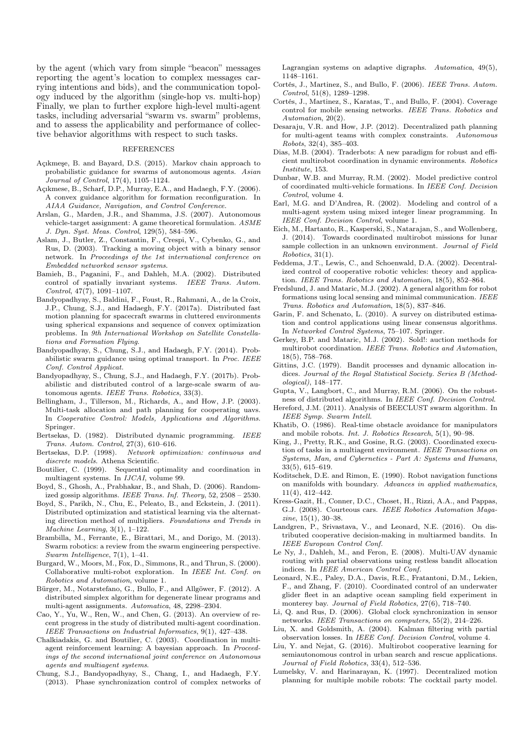by the agent (which vary from simple "beacon" messages reporting the agent's location to complex messages carrying intentions and bids), and the communication topology induced by the algorithm (single-hop vs. multi-hop) Finally, we plan to further explore high-level multi-agent tasks, including adversarial "swarm vs. swarm" problems, and to assess the applicability and performance of collective behavior algorithms with respect to such tasks.

#### REFERENCES

- Açıkmeşe, B. and Bayard, D.S. (2015). Markov chain approach to probabilistic guidance for swarms of autonomous agents. Asian Journal of Control, 17(4), 1105–1124.
- Açıkmese, B., Scharf, D.P., Murray, E.A., and Hadaegh, F.Y. (2006). A convex guidance algorithm for formation reconfiguration. In AIAA Guidance, Navigation, and Control Conference.
- Arslan, G., Marden, J.R., and Shamma, J.S. (2007). Autonomous vehicle-target assignment: A game theoretical formulation. ASME J. Dyn. Syst. Meas. Control, 129(5), 584–596.
- Aslam, J., Butler, Z., Constantin, F., Crespi, V., Cybenko, G., and Rus, D. (2003). Tracking a moving object with a binary sensor network. In Proceedings of the 1st international conference on Embedded networked sensor systems.
- Bamieh, B., Paganini, F., and Dahleh, M.A. (2002). Distributed control of spatially invariant systems. IEEE Trans. Autom. Control, 47(7), 1091–1107.
- Bandyopadhyay, S., Baldini, F., Foust, R., Rahmani, A., de la Croix, J.P., Chung, S.J., and Hadaegh, F.Y. (2017a). Distributed fast motion planning for spacecraft swarms in cluttered environments using spherical expansions and sequence of convex optimization problems. In 9th International Workshop on Satellite Constellations and Formation Flying.
- Bandyopadhyay, S., Chung, S.J., and Hadaegh, F.Y. (2014). Probabilistic swarm guidance using optimal transport. In Proc. IEEE Conf. Control Applicat.
- Bandyopadhyay, S., Chung, S.J., and Hadaegh, F.Y. (2017b). Probabilistic and distributed control of a large-scale swarm of autonomous agents. IEEE Trans. Robotics, 33(3).
- Bellingham, J., Tillerson, M., Richards, A., and How, J.P. (2003). Multi-task allocation and path planning for cooperating uavs. In Cooperative Control: Models, Applications and Algorithms. Springer.
- Bertsekas, D. (1982). Distributed dynamic programming. IEEE Trans. Autom. Control, 27(3), 610–616.
- Bertsekas, D.P. (1998). Network optimization: continuous and discrete models. Athena Scientific.
- Boutilier, C. (1999). Sequential optimality and coordination in multiagent systems. In IJCAI, volume 99.
- Boyd, S., Ghosh, A., Prabhakar, B., and Shah, D. (2006). Randomized gossip algorithms. IEEE Trans. Inf. Theory, 52, 2508 – 2530.
- Boyd, S., Parikh, N., Chu, E., Peleato, B., and Eckstein, J. (2011). Distributed optimization and statistical learning via the alternating direction method of multipliers. Foundations and Trends in Machine Learning, 3(1), 1–122.
- Brambilla, M., Ferrante, E., Birattari, M., and Dorigo, M. (2013). Swarm robotics: a review from the swarm engineering perspective. Swarm Intelligence, 7(1), 1–41.
- Burgard, W., Moors, M., Fox, D., Simmons, R., and Thrun, S. (2000). Collaborative multi-robot exploration. In IEEE Int. Conf. on Robotics and Automation, volume 1.
- Bürger, M., Notarstefano, G., Bullo, F., and Allgöwer, F. (2012). A distributed simplex algorithm for degenerate linear programs and multi-agent assignments. Automatica, 48, 2298–2304.
- Cao, Y., Yu, W., Ren, W., and Chen, G. (2013). An overview of recent progress in the study of distributed multi-agent coordination. IEEE Transactions on Industrial Informatics, 9(1), 427–438.
- Chalkiadakis, G. and Boutilier, C. (2003). Coordination in multiagent reinforcement learning: A bayesian approach. In Proceedings of the second international joint conference on Autonomous agents and multiagent systems.
- Chung, S.J., Bandyopadhyay, S., Chang, I., and Hadaegh, F.Y. (2013). Phase synchronization control of complex networks of

Lagrangian systems on adaptive digraphs. Automatica, 49(5), 1148–1161.

- Cortés, J., Martinez, S., and Bullo, F. (2006). IEEE Trans. Autom. Control, 51(8), 1289–1298.
- Cortés, J., Martinez, S., Karatas, T., and Bullo, F. (2004). Coverage control for mobile sensing networks. IEEE Trans. Robotics and Automation, 20(2).
- Desaraju, V.R. and How, J.P. (2012). Decentralized path planning for multi-agent teams with complex constraints. Autonomous Robots, 32(4), 385–403.
- Dias, M.B. (2004). Traderbots: A new paradigm for robust and efficient multirobot coordination in dynamic environments. Robotics Institute, 153.
- Dunbar, W.B. and Murray, R.M. (2002). Model predictive control of coordinated multi-vehicle formations. In IEEE Conf. Decision Control, volume 4.
- Earl, M.G. and D'Andrea, R. (2002). Modeling and control of a multi-agent system using mixed integer linear programming. In IEEE Conf. Decision Control, volume 1.
- Eich, M., Hartanto, R., Kasperski, S., Natarajan, S., and Wollenberg, J. (2014). Towards coordinated multirobot missions for lunar sample collection in an unknown environment. *Journal of Field* Robotics, 31(1).
- Feddema, J.T., Lewis, C., and Schoenwald, D.A. (2002). Decentralized control of cooperative robotic vehicles: theory and application. IEEE Trans. Robotics and Automation, 18(5), 852–864.
- Fredslund, J. and Mataric, M.J. (2002). A general algorithm for robot formations using local sensing and minimal communication. IEEE Trans. Robotics and Automation, 18(5), 837–846.
- Garin, F. and Schenato, L. (2010). A survey on distributed estimation and control applications using linear consensus algorithms. In Networked Control Systems, 75–107. Springer.
- Gerkey, B.P. and Mataric, M.J. (2002). Sold!: auction methods for multirobot coordination. IEEE Trans. Robotics and Automation, 18(5), 758–768.
- Gittins, J.C. (1979). Bandit processes and dynamic allocation indices. Journal of the Royal Statistical Society. Series B (Methodological), 148–177.
- Gupta, V., Langbort, C., and Murray, R.M. (2006). On the robustness of distributed algorithms. In IEEE Conf. Decision Control.
- Hereford, J.M. (2011). Analysis of BEECLUST swarm algorithm. In IEEE Symp. Swarm Intell.
- Khatib, O. (1986). Real-time obstacle avoidance for manipulators and mobile robots. Int. J. Robotics Research, 5(1), 90–98.
- King, J., Pretty, R.K., and Gosine, R.G. (2003). Coordinated execution of tasks in a multiagent environment. IEEE Transactions on Systems, Man, and Cybernetics - Part A: Systems and Humans, 33(5), 615–619.
- Koditschek, D.E. and Rimon, E. (1990). Robot navigation functions on manifolds with boundary. Advances in applied mathematics, 11(4), 412–442.
- Kress-Gazit, H., Conner, D.C., Choset, H., Rizzi, A.A., and Pappas, G.J. (2008). Courteous cars. IEEE Robotics Automation Magazine, 15(1), 30–38.
- Landgren, P., Srivastava, V., and Leonard, N.E. (2016). On distributed cooperative decision-making in multiarmed bandits. In IEEE European Control Conf.
- Le Ny, J., Dahleh, M., and Feron, E. (2008). Multi-UAV dynamic routing with partial observations using restless bandit allocation indices. In IEEE American Control Conf.
- Leonard, N.E., Paley, D.A., Davis, R.E., Fratantoni, D.M., Lekien, F., and Zhang, F. (2010). Coordinated control of an underwater glider fleet in an adaptive ocean sampling field experiment in monterey bay. Journal of Field Robotics, 27(6), 718–740.
- Li, Q. and Rus, D. (2006). Global clock synchronization in sensor networks. IEEE Transactions on computers, 55(2), 214–226.
- Liu, X. and Goldsmith, A. (2004). Kalman filtering with partial observation losses. In IEEE Conf. Decision Control, volume 4.
- Liu, Y. and Nejat, G. (2016). Multirobot cooperative learning for semiautonomous control in urban search and rescue applications. Journal of Field Robotics, 33(4), 512–536.
- Lumelsky, V. and Harinarayan, K. (1997). Decentralized motion planning for multiple mobile robots: The cocktail party model.